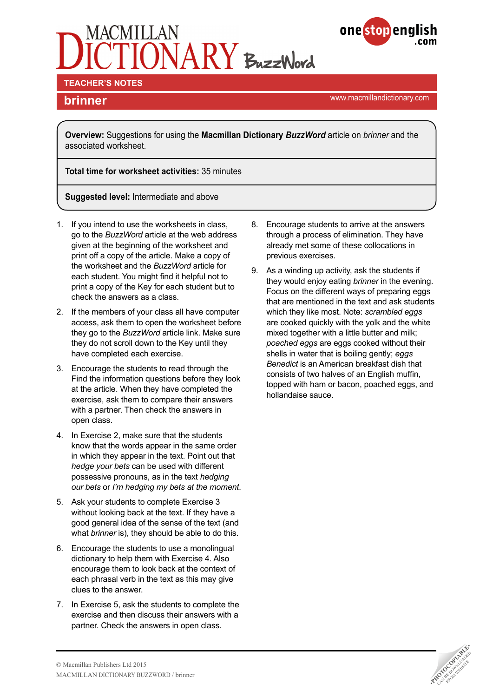



**TEACHER'S NOTES** 

**brinner brinner brinner brinner brinner brinner brinner brinner brinner brinner brinner brinner brinner brinner brinner brinner brinner brinner brinner brinner brinner brinner b** 

**Overview:** Suggestions for using the **Macmillan Dictionary** *BuzzWord* article on *brinner* and the associated worksheet.

**Total time for worksheet activities:** 35 minutes

**Suggested level:** Intermediate and above

- 1. If you intend to use the worksheets in class, go to the *BuzzWord* article at the web address given at the beginning of the worksheet and print off a copy of the article. Make a copy of the worksheet and the *BuzzWord* article for each student. You might find it helpful not to print a copy of the Key for each student but to check the answers as a class.
- 2. If the members of your class all have computer access, ask them to open the worksheet before they go to the *BuzzWord* article link. Make sure they do not scroll down to the Key until they have completed each exercise.
- 3. Encourage the students to read through the Find the information questions before they look at the article. When they have completed the exercise, ask them to compare their answers with a partner. Then check the answers in open class.
- 4. In Exercise 2, make sure that the students know that the words appear in the same order in which they appear in the text. Point out that *hedge your bets* can be used with different possessive pronouns, as in the text *hedging our bets* or *I'm hedging my bets at the moment*.
- 5. Ask your students to complete Exercise 3 without looking back at the text. If they have a good general idea of the sense of the text (and what *brinner* is), they should be able to do this.
- 6. Encourage the students to use a monolingual dictionary to help them with Exercise 4. Also encourage them to look back at the context of each phrasal verb in the text as this may give clues to the answer.
- 7. In Exercise 5, ask the students to complete the exercise and then discuss their answers with a partner. Check the answers in open class.
- 8. Encourage students to arrive at the answers through a process of elimination. They have already met some of these collocations in previous exercises.
- 9. As a winding up activity, ask the students if they would enjoy eating *brinner* in the evening. Focus on the different ways of preparing eggs that are mentioned in the text and ask students which they like most. Note: *scrambled eggs* are cooked quickly with the yolk and the white mixed together with a little butter and milk; *poached eggs* are eggs cooked without their shells in water that is boiling gently; *eggs Benedict* is an American breakfast dish that consists of two halves of an English muffin, topped with ham or bacon, poached eggs, and hollandaise sauce.

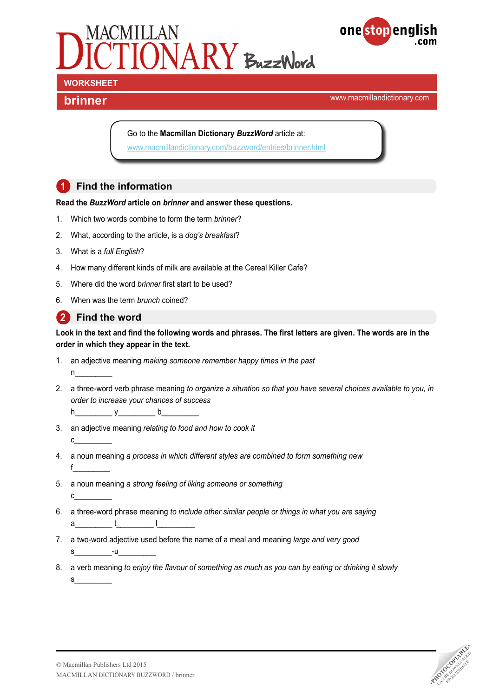



**brinner brinner brinner brinner brinner brinner brinner brinner brinner brinner brinner brinner brinner brinner brinner brinner brinner brinner brinner brinner brinner brinner b** 

Go to the **Macmillan Dictionary** *BuzzWord* article at:

[www.macmillandictionary.com/buzzword/entries/brinner.html](http://www.macmillandictionary.com/buzzword/entries/brinner.html)

### **1 Find the information**

#### **Read the** *BuzzWord* **article on** *brinner* **and answer these questions.**

- 1. Which two words combine to form the term *brinner*?
- 2. What, according to the article, is a *dog's breakfast*?
- 3. What is a *full English*?
- 4. How many different kinds of milk are available at the Cereal Killer Cafe?
- 5. Where did the word *brinner* first start to be used?
- 6. When was the term *brunch* coined?

### **2 Find the word**

 $n$ 

 $c_{\perp}$ 

#### **Look in the text and find the following words and phrases. The first letters are given. The words are in the order in which they appear in the text.**

- 1. an adjective meaning *making someone remember happy times in the past*
- 2. a three-word verb phrase meaning *to organize a situation so that you have several choices available to you, in order to increase your chances of success*
	- $h \qquad y \qquad b \qquad$
- 3. an adjective meaning *relating to food and how to cook it*  $c_{-}$
- 4. a noun meaning *a process in which different styles are combined to form something new* f\_\_\_\_\_\_\_\_\_
- 5. a noun meaning *a strong feeling of liking someone or something*
- 6. a three-word phrase meaning *to include other similar people or things in what you are saying*  $a$  t l
- 7. a two-word adjective used before the name of a meal and meaning *large and very good*  $s$   $-u$
- 8. a verb meaning *to enjoy the flavour of something as much as you can by eating or drinking it slowly*  $S$

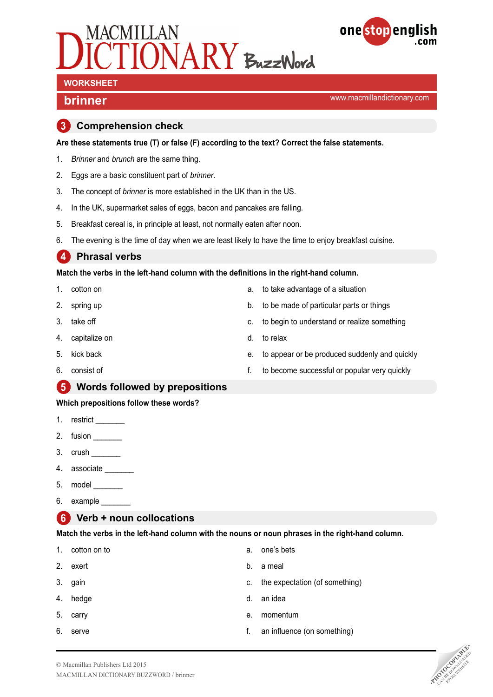



# **WORKSHEET**

**brinner brinner brinner brinner brinner brinner brinner brinner brinner brinner brinner brinner brinner brinner brinner brinner brinner brinner brinner brinner brinner brinner b** 

#### **3 Comprehension check**

**Are these statements true (T) or false (F) according to the text? Correct the false statements.**

- 1. *Brinner* and *brunch* are the same thing.
- 2. Eggs are a basic constituent part of *brinner*.
- 3. The concept of *brinner* is more established in the UK than in the US.
- 4. In the UK, supermarket sales of eggs, bacon and pancakes are falling.
- 5. Breakfast cereal is, in principle at least, not normally eaten after noon.
- 6. The evening is the time of day when we are least likely to have the time to enjoy breakfast cuisine.

### **4 Phrasal verbs**

**Match the verbs in the left-hand column with the definitions in the right-hand column.**

- 1. cotton on
- 2. spring up
- 3. take off
- 4. capitalize on
- 5. kick back
- 6. consist of

#### **5 Words followed by prepositions**

#### **Which prepositions follow these words?**

- 1. restrict
- 2. fusion \_\_\_\_\_
- 3. crush \_\_\_\_\_\_\_
- 4. associate
- 5. model \_\_\_\_\_\_\_
- 6. example  $\_\_$

### **6 Verb + noun collocations**

**Match the verbs in the left-hand column with the nouns or noun phrases in the right-hand column.**

- 1. cotton on to 2. exert 3. gain 4. hedge 5. carry 6. serve a. one's bets b. a meal c. the expectation (of something) d. an idea e. momentum
	- f. an influence (on something)



- a. to take advantage of a situation
- b. to be made of particular parts or things
- c. to begin to understand or realize something
- d. to relax
- e. to appear or be produced suddenly and quickly
- f. to become successful or popular very quickly